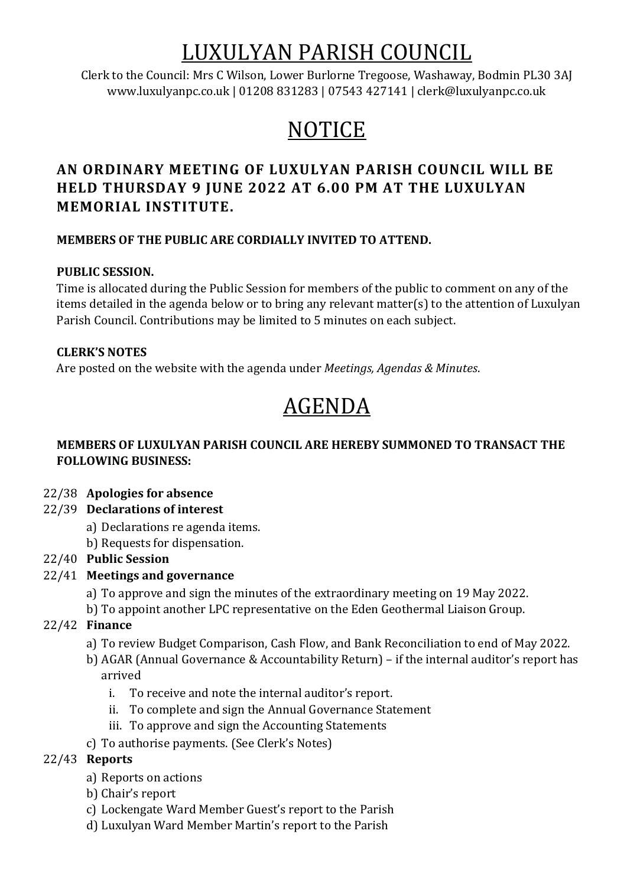# LUXULYAN PARISH COUNCIL

Clerk to the Council: Mrs C Wilson, Lower Burlorne Tregoose, Washaway, Bodmin PL30 3AJ www.luxulyanpc.co.uk | 01208 831283 | 07543 427141 | clerk@luxulyanpc.co.uk

# **NOTICE**

# **AN ORDINARY MEETING OF LUXULYAN PARISH COUNCIL WILL BE HELD THURSDAY 9 JUNE 2022 AT 6.00 PM AT THE LUXULYAN MEMORIAL INSTITUTE.**

# **MEMBERS OF THE PUBLIC ARE CORDIALLY INVITED TO ATTEND.**

# **PUBLIC SESSION.**

Time is allocated during the Public Session for members of the public to comment on any of the items detailed in the agenda below or to bring any relevant matter(s) to the attention of Luxulyan Parish Council. Contributions may be limited to 5 minutes on each subject.

# **CLERK'S NOTES**

Are posted on the website with the agenda under *Meetings, Agendas & Minutes*.

# AGENDA

## **MEMBERS OF LUXULYAN PARISH COUNCIL ARE HEREBY SUMMONED TO TRANSACT THE FOLLOWING BUSINESS:**

- 22/38 **Apologies for absence**
- 22/39 **Declarations of interest**
	- a) Declarations re agenda items.
	- b) Requests for dispensation.

# 22/40 **Public Session**

- 22/41 **Meetings and governance**
	- a) To approve and sign the minutes of the extraordinary meeting on 19 May 2022.
	- b) To appoint another LPC representative on the Eden Geothermal Liaison Group.
- 22/42 **Finance**
	- a) To review Budget Comparison, Cash Flow, and Bank Reconciliation to end of May 2022.
	- b) AGAR (Annual Governance & Accountability Return) if the internal auditor's report has arrived
		- i. To receive and note the internal auditor's report.
		- ii. To complete and sign the Annual Governance Statement
		- iii. To approve and sign the Accounting Statements
	- c) To authorise payments. (See Clerk's Notes)

# 22/43 **Reports**

- a) Reports on actions
- b) Chair's report
- c) Lockengate Ward Member Guest's report to the Parish
- d) Luxulyan Ward Member Martin's report to the Parish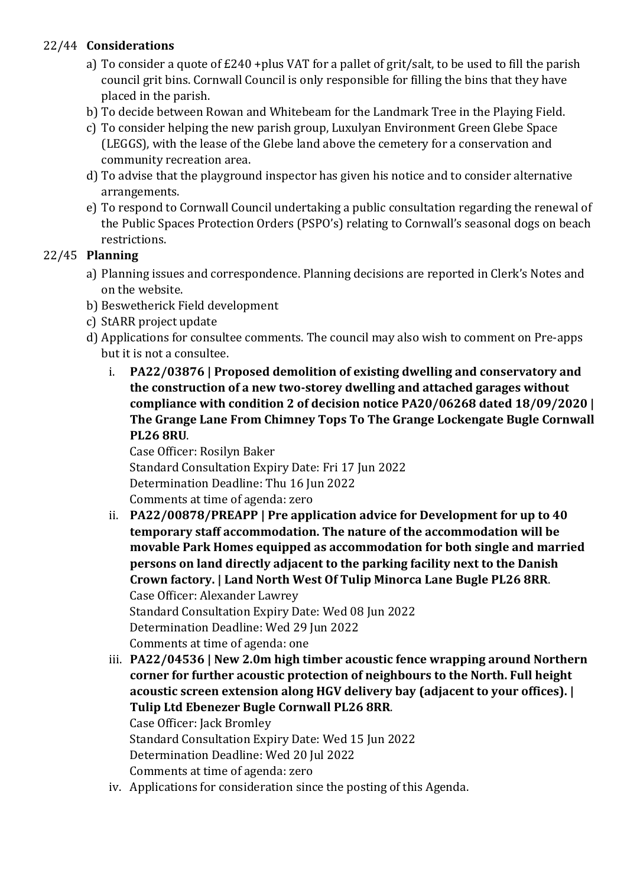# 22/44 **Considerations**

- a) To consider a quote of £240 +plus VAT for a pallet of grit/salt, to be used to fill the parish council grit bins. Cornwall Council is only responsible for filling the bins that they have placed in the parish.
- b) To decide between Rowan and Whitebeam for the Landmark Tree in the Playing Field.
- c) To consider helping the new parish group, Luxulyan Environment Green Glebe Space (LEGGS), with the lease of the Glebe land above the cemetery for a conservation and community recreation area.
- d) To advise that the playground inspector has given his notice and to consider alternative arrangements.
- e) To respond to Cornwall Council undertaking a public consultation regarding the renewal of the Public Spaces Protection Orders (PSPO's) relating to Cornwall's seasonal dogs on beach restrictions.

# 22/45 **Planning**

- a) Planning issues and correspondence. Planning decisions are reported in Clerk's Notes and on the website.
- b) Beswetherick Field development
- c) StARR project update
- d) Applications for consultee comments. The council may also wish to comment on Pre-apps but it is not a consultee.
	- i. **PA22/03876 | Proposed demolition of existing dwelling and conservatory and the construction of a new two-storey dwelling and attached garages without compliance with condition 2 of decision notice PA20/06268 dated 18/09/2020 | The Grange Lane From Chimney Tops To The Grange Lockengate Bugle Cornwall PL26 8RU**.

Case Officer: Rosilyn Baker Standard Consultation Expiry Date: Fri 17 Jun 2022 Determination Deadline: Thu 16 Jun 2022 Comments at time of agenda: zero

- ii. **PA22/00878/PREAPP | Pre application advice for Development for up to 40 temporary staff accommodation. The nature of the accommodation will be movable Park Homes equipped as accommodation for both single and married persons on land directly adjacent to the parking facility next to the Danish Crown factory. | Land North West Of Tulip Minorca Lane Bugle PL26 8RR**. Case Officer: Alexander Lawrey Standard Consultation Expiry Date: Wed 08 Jun 2022 Determination Deadline: Wed 29 Jun 2022 Comments at time of agenda: one
- iii. **PA22/04536 | New 2.0m high timber acoustic fence wrapping around Northern corner for further acoustic protection of neighbours to the North. Full height acoustic screen extension along HGV delivery bay (adjacent to your offices). | Tulip Ltd Ebenezer Bugle Cornwall PL26 8RR**. Case Officer: Jack Bromley Standard Consultation Expiry Date: Wed 15 Jun 2022 Determination Deadline: Wed 20 Jul 2022 Comments at time of agenda: zero
- iv. Applications for consideration since the posting of this Agenda.